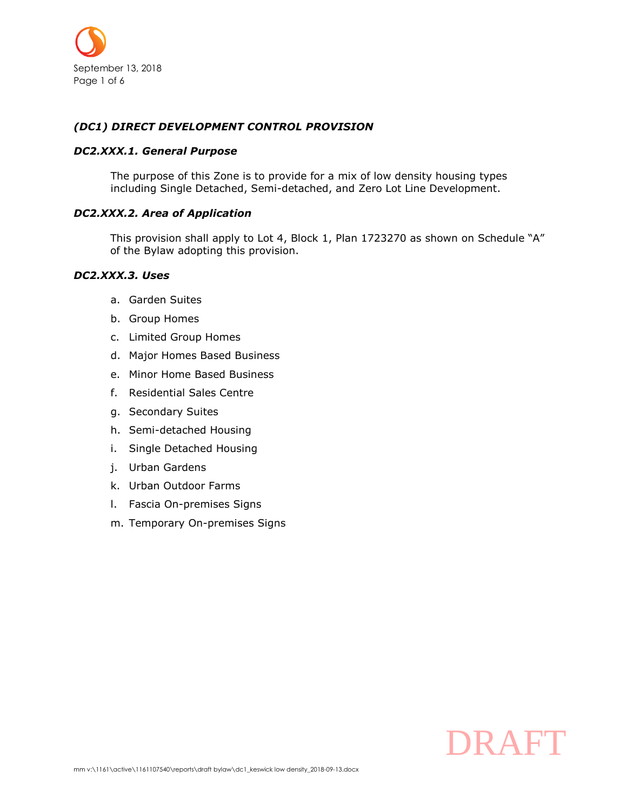

## *(DC1) DIRECT DEVELOPMENT CONTROL PROVISION*

#### *DC2.XXX.1. General Purpose*

The purpose of this Zone is to provide for a mix of low density housing types including Single Detached, Semi-detached, and Zero Lot Line Development.

## *DC2.XXX.2. Area of Application*

This provision shall apply to Lot 4, Block 1, Plan 1723270 as shown on Schedule "A" of the Bylaw adopting this provision.

#### *DC2.XXX.3. Uses*

- a. Garden Suites
- b. Group Homes
- c. Limited Group Homes
- d. Major Homes Based Business
- e. Minor Home Based Business
- f. Residential Sales Centre
- g. Secondary Suites
- h. Semi-detached Housing
- i. Single Detached Housing
- j. Urban Gardens
- k. Urban Outdoor Farms
- l. Fascia On-premises Signs
- m. Temporary On-premises Signs

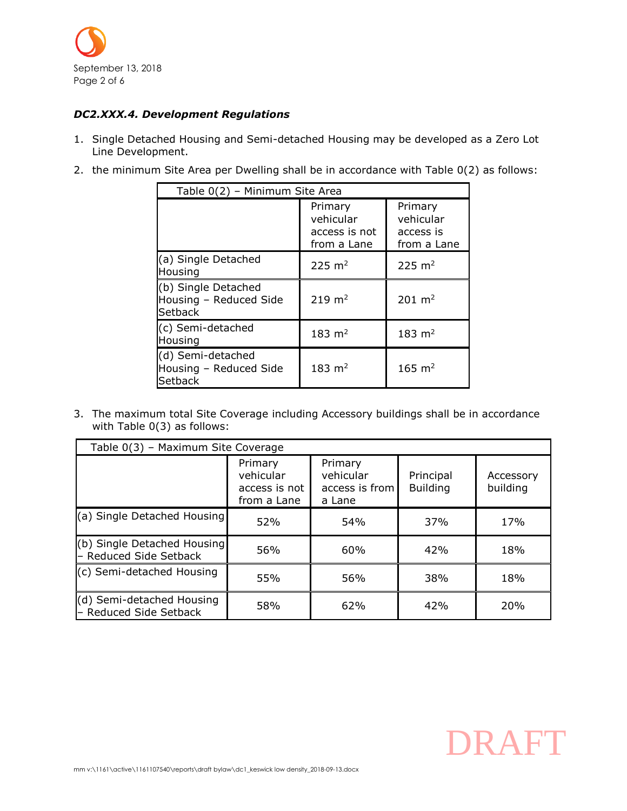

# <span id="page-1-0"></span>*DC2.XXX.4. Development Regulations*

- 1. Single Detached Housing and Semi-detached Housing may be developed as a Zero Lot Line Development.
- 2. the minimum Site Area per Dwelling shall be in accordance with Table [0\(](#page-1-0)2) as follows:

| Table 0(2) - Minimum Site Area                                  |                                                      |                                                  |  |  |
|-----------------------------------------------------------------|------------------------------------------------------|--------------------------------------------------|--|--|
|                                                                 | Primary<br>vehicular<br>access is not<br>from a Lane | Primary<br>vehicular<br>access is<br>from a Lane |  |  |
| (a) Single Detached<br>Housing                                  | $225 \; \text{m}^2$                                  | $225 \text{ m}^2$                                |  |  |
| (b) Single Detached<br>Housing - Reduced Side<br><b>Setback</b> | $219 \; \text{m}^2$                                  | $201 \; \text{m}^2$                              |  |  |
| (c) Semi-detached<br>Housing                                    | $183 \; \text{m}^2$                                  | $183 \; \text{m}^2$                              |  |  |
| (d) Semi-detached<br>Housing - Reduced Side<br>Setback          | $183 \; \text{m}^2$                                  | $165 \; \text{m}^2$                              |  |  |

3. The maximum total Site Coverage including Accessory buildings shall be in accordance with Table [0\(](#page-1-0)3) as follows:

| Table 0(3) - Maximum Site Coverage                    |                                                      |                                                  |                              |                       |  |  |
|-------------------------------------------------------|------------------------------------------------------|--------------------------------------------------|------------------------------|-----------------------|--|--|
|                                                       | Primary<br>vehicular<br>access is not<br>from a Lane | Primary<br>vehicular<br>access is from<br>a Lane | Principal<br><b>Building</b> | Accessory<br>building |  |  |
| (a) Single Detached Housing                           | 52%                                                  | 54%                                              | 37%                          | 17%                   |  |  |
| (b) Single Detached Housing<br>- Reduced Side Setback | 56%                                                  | 60%                                              | 42%                          | 18%                   |  |  |
| (c) Semi-detached Housing                             | 55%                                                  | 56%                                              | 38%                          | 18%                   |  |  |
| (d) Semi-detached Housing<br>- Reduced Side Setback   | 58%                                                  | 62%                                              | 42%                          | 20%                   |  |  |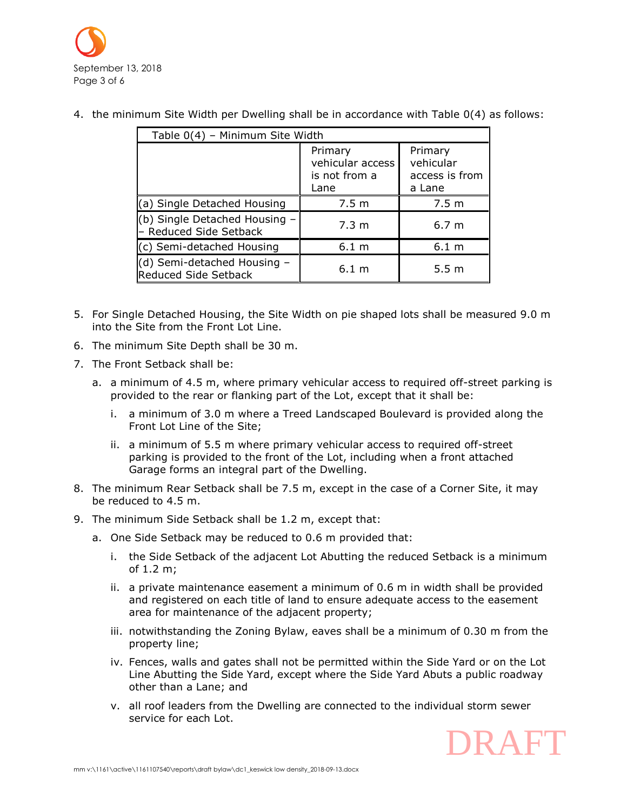

| Table 0(4) - Minimum Site Width                            |                                                      |                                                  |  |  |
|------------------------------------------------------------|------------------------------------------------------|--------------------------------------------------|--|--|
|                                                            | Primary<br>vehicular access<br>is not from a<br>Lane | Primary<br>vehicular<br>access is from<br>a Lane |  |  |
| (a) Single Detached Housing                                | 7.5 m                                                | 7.5 <sub>m</sub>                                 |  |  |
| (b) Single Detached Housing -<br>- Reduced Side Setback    | 7.3 m                                                | 6.7 <sub>m</sub>                                 |  |  |
| (c) Semi-detached Housing                                  | 6.1 <sub>m</sub>                                     | 6.1 <sub>m</sub>                                 |  |  |
| (d) Semi-detached Housing -<br><b>Reduced Side Setback</b> | $6.1 \text{ m}$                                      | 5.5 <sub>m</sub>                                 |  |  |

4. the minimum Site Width per Dwelling shall be in accordance with Table [0\(](#page-1-0)4) as follows:

- 5. For Single Detached Housing, the Site Width on pie shaped lots shall be measured 9.0 m into the Site from the Front Lot Line.
- 6. The minimum Site Depth shall be 30 m.
- 7. The Front Setback shall be:
	- a. a minimum of 4.5 m, where primary vehicular access to required off-street parking is provided to the rear or flanking part of the Lot, except that it shall be:
		- i. a minimum of 3.0 m where a Treed Landscaped Boulevard is provided along the Front Lot Line of the Site;
		- ii. a minimum of 5.5 m where primary vehicular access to required off-street parking is provided to the front of the Lot, including when a front attached Garage forms an integral part of the Dwelling.
- 8. The minimum Rear Setback shall be 7.5 m, except in the case of a Corner Site, it may be reduced to 4.5 m.
- 9. The minimum Side Setback shall be 1.2 m, except that:
	- a. One Side Setback may be reduced to 0.6 m provided that:
		- i. the Side Setback of the adjacent Lot Abutting the reduced Setback is a minimum of 1.2 m;
		- ii. a private maintenance easement a minimum of 0.6 m in width shall be provided and registered on each title of land to ensure adequate access to the easement area for maintenance of the adjacent property;
		- iii. notwithstanding the Zoning Bylaw, eaves shall be a minimum of 0.30 m from the property line;
		- iv. Fences, walls and gates shall not be permitted within the Side Yard or on the Lot Line Abutting the Side Yard, except where the Side Yard Abuts a public roadway other than a Lane; and
		- v. all roof leaders from the Dwelling are connected to the individual storm sewer service for each Lot.

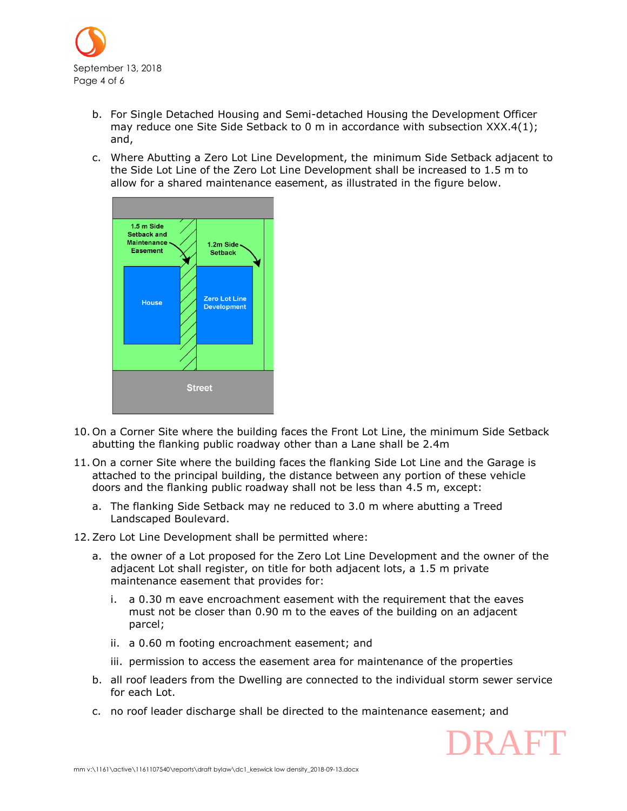

- b. For Single Detached Housing and Semi-detached Housing the Development Officer may reduce one Site Side Setback to 0 m in accordance with subsection XXX.4(1); and,
- c. Where Abutting a Zero Lot Line Development, the minimum Side Setback adjacent to the Side Lot Line of the Zero Lot Line Development shall be increased to 1.5 m to allow for a shared maintenance easement, as illustrated in the figure below.



- 10. On a Corner Site where the building faces the Front Lot Line, the minimum Side Setback abutting the flanking public roadway other than a Lane shall be 2.4m
- 11. On a corner Site where the building faces the flanking Side Lot Line and the Garage is attached to the principal building, the distance between any portion of these vehicle doors and the flanking public roadway shall not be less than [4.5 m,](javascript:void(0);) except:
	- a. The flanking Side Setback may ne reduced to 3.0 m where abutting a Treed Landscaped Boulevard.
- 12.Zero Lot Line Development shall be permitted where:
	- a. the owner of a Lot proposed for the Zero Lot Line Development and the owner of the adjacent Lot shall register, on title for both adjacent lots, a 1.5 m private maintenance easement that provides for:
		- i. a 0.30 m eave encroachment easement with the requirement that the eaves must not be closer than [0.90 m](javascript:void(0);) to the eaves of the building on an adjacent parcel;
		- ii. a [0.60 m](javascript:void(0);) footing encroachment easement; and
		- iii. permission to access the easement area for maintenance of the properties
	- b. all roof leaders from the Dwelling are connected to the individual storm sewer service for each Lot.
	- c. no roof leader discharge shall be directed to the maintenance easement; and

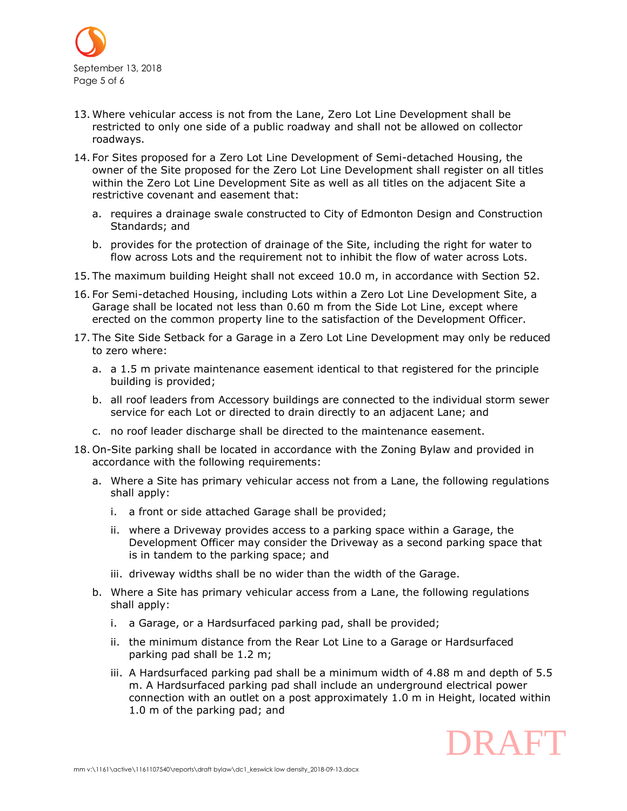

- 13. Where vehicular access is not from the Lane, Zero Lot Line Development shall be restricted to only one side of a public roadway and shall not be allowed on collector roadways.
- 14. For Sites proposed for a Zero Lot Line Development of Semi-detached Housing, the owner of the Site proposed for the Zero Lot Line Development shall register on all titles within the Zero Lot Line Development Site as well as all titles on the adjacent Site a restrictive covenant and easement that:
	- a. requires a drainage swale constructed to City of Edmonton Design and Construction Standards; and
	- b. provides for the protection of drainage of the Site, including the right for water to flow across Lots and the requirement not to inhibit the flow of water across Lots.
- 15. The maximum building Height shall not exceed [10.0 m,](javascript:void(0);) in accordance with Section 52.
- 16. For Semi-detached Housing, including Lots within a Zero Lot Line Development Site, a Garage shall be located not less than 0.60 m from the Side Lot Line, except where erected on the common property line to the satisfaction of the Development Officer.
- 17. The Site Side Setback for a Garage in a Zero Lot Line Development may only be reduced to zero where:
	- a. a 1.5 m private maintenance easement identical to that registered for the principle building is provided;
	- b. all roof leaders from Accessory buildings are connected to the individual storm sewer service for each Lot or directed to drain directly to an adjacent Lane; and
	- c. no roof leader discharge shall be directed to the maintenance easement.
- 18. On-Site parking shall be located in accordance with the Zoning Bylaw and provided in accordance with the following requirements:
	- a. Where a Site has primary vehicular access not from a Lane, the following regulations shall apply:
		- i. a front or side attached Garage shall be provided;
		- ii. where a Driveway provides access to a parking space within a Garage, the Development Officer may consider the Driveway as a second parking space that is in tandem to the parking space; and
		- iii. driveway widths shall be no wider than the width of the Garage.
	- b. Where a Site has primary vehicular access from a Lane, the following regulations shall apply:
		- i. a Garage, or a Hardsurfaced parking pad, shall be provided;
		- ii. the minimum distance from the Rear Lot Line to a Garage or Hardsurfaced parking pad shall be [1.2](javascript:void(0);) m;
		- iii. A Hardsurfaced parking pad shall be a minimum width of [4.88 m](javascript:void(0);) and depth of [5.5](javascript:void(0);)  [m.](javascript:void(0);) A Hardsurfaced parking pad shall include an underground electrical power connection with an outlet on a post approximately 1.0 m in Height, located within 1.0 m of the parking pad; and